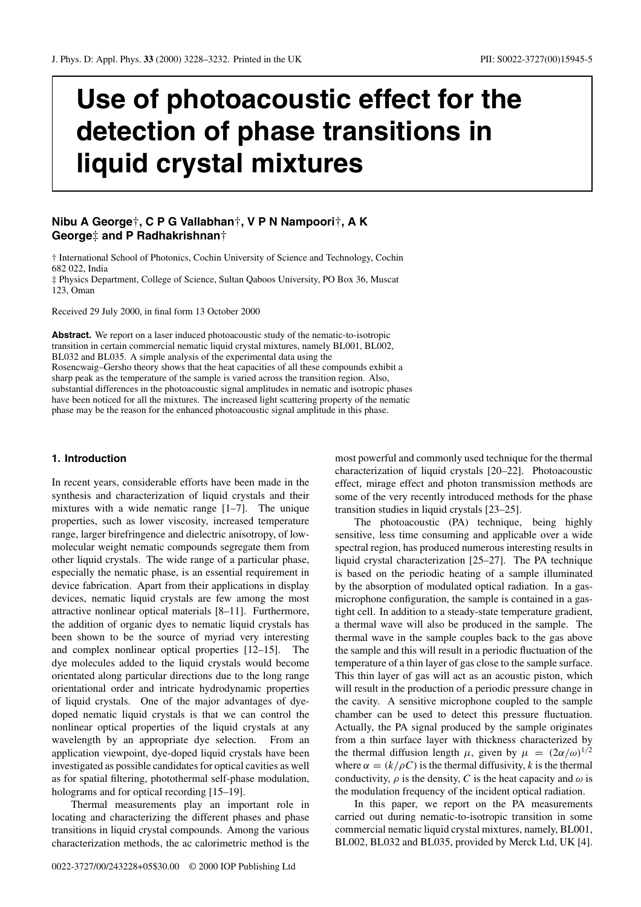# **Use of photoacoustic effect for the detection of phase transitions in liquid crystal mixtures**

# **Nibu A George**†**,CPGVallabhan**†**,VPN Nampoori**†**,AK George**‡ **and P Radhakrishnan**†

† International School of Photonics, Cochin University of Science and Technology, Cochin 682 022, India ‡ Physics Department, College of Science, Sultan Qaboos University, PO Box 36, Muscat 123, Oman

Received 29 July 2000, in final form 13 October 2000

**Abstract.** We report on a laser induced photoacoustic study of the nematic-to-isotropic transition in certain commercial nematic liquid crystal mixtures, namely BL001, BL002, BL032 and BL035. A simple analysis of the experimental data using the Rosencwaig–Gersho theory shows that the heat capacities of all these compounds exhibit a sharp peak as the temperature of the sample is varied across the transition region. Also, substantial differences in the photoacoustic signal amplitudes in nematic and isotropic phases have been noticed for all the mixtures. The increased light scattering property of the nematic phase may be the reason for the enhanced photoacoustic signal amplitude in this phase.

# **1. Introduction**

In recent years, considerable efforts have been made in the synthesis and characterization of liquid crystals and their mixtures with a wide nematic range [1–7]. The unique properties, such as lower viscosity, increased temperature range, larger birefringence and dielectric anisotropy, of lowmolecular weight nematic compounds segregate them from other liquid crystals. The wide range of a particular phase, especially the nematic phase, is an essential requirement in device fabrication. Apart from their applications in display devices, nematic liquid crystals are few among the most attractive nonlinear optical materials [8–11]. Furthermore, the addition of organic dyes to nematic liquid crystals has been shown to be the source of myriad very interesting and complex nonlinear optical properties [12–15]. The dye molecules added to the liquid crystals would become orientated along particular directions due to the long range orientational order and intricate hydrodynamic properties of liquid crystals. One of the major advantages of dyedoped nematic liquid crystals is that we can control the nonlinear optical properties of the liquid crystals at any wavelength by an appropriate dye selection. From an application viewpoint, dye-doped liquid crystals have been investigated as possible candidates for optical cavities as well as for spatial filtering, photothermal self-phase modulation, holograms and for optical recording [15–19].

Thermal measurements play an important role in locating and characterizing the different phases and phase transitions in liquid crystal compounds. Among the various characterization methods, the ac calorimetric method is the

most powerful and commonly used technique for the thermal characterization of liquid crystals [20–22]. Photoacoustic effect, mirage effect and photon transmission methods are some of the very recently introduced methods for the phase transition studies in liquid crystals [23–25].

The photoacoustic (PA) technique, being highly sensitive, less time consuming and applicable over a wide spectral region, has produced numerous interesting results in liquid crystal characterization [25–27]. The PA technique is based on the periodic heating of a sample illuminated by the absorption of modulated optical radiation. In a gasmicrophone configuration, the sample is contained in a gastight cell. In addition to a steady-state temperature gradient, a thermal wave will also be produced in the sample. The thermal wave in the sample couples back to the gas above the sample and this will result in a periodic fluctuation of the temperature of a thin layer of gas close to the sample surface. This thin layer of gas will act as an acoustic piston, which will result in the production of a periodic pressure change in the cavity. A sensitive microphone coupled to the sample chamber can be used to detect this pressure fluctuation. Actually, the PA signal produced by the sample originates from a thin surface layer with thickness characterized by the thermal diffusion length  $\mu$ , given by  $\mu = (2\alpha/\omega)^{1/2}$ where  $\alpha = (k/\rho C)$  is the thermal diffusivity, k is the thermal conductivity,  $\rho$  is the density, C is the heat capacity and  $\omega$  is the modulation frequency of the incident optical radiation.

In this paper, we report on the PA measurements carried out during nematic-to-isotropic transition in some commercial nematic liquid crystal mixtures, namely, BL001, BL002, BL032 and BL035, provided by Merck Ltd, UK [4].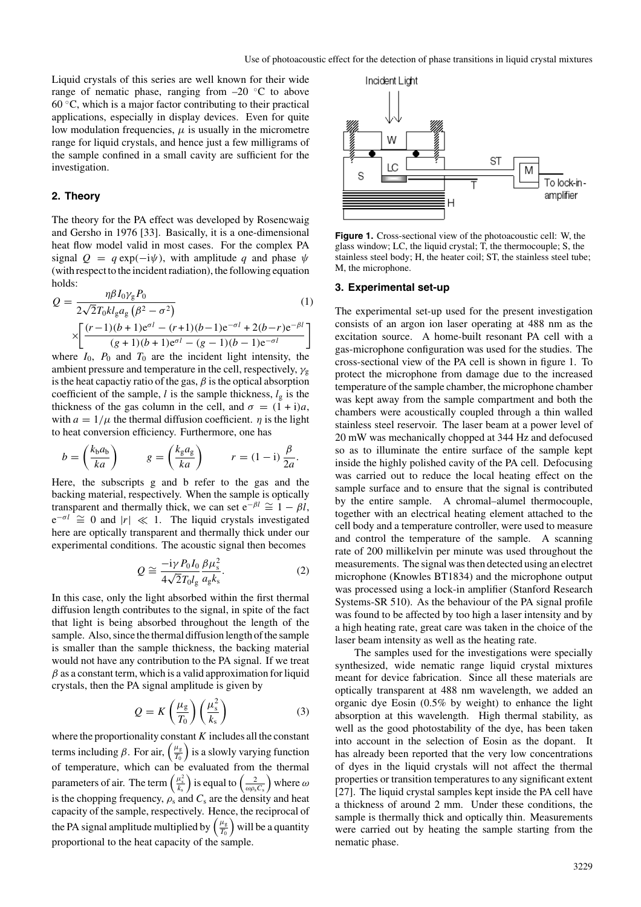Liquid crystals of this series are well known for their wide range of nematic phase, ranging from  $-20$  °C to above  $60^{\circ}$ C, which is a major factor contributing to their practical applications, especially in display devices. Even for quite low modulation frequencies,  $\mu$  is usually in the micrometre range for liquid crystals, and hence just a few milligrams of the sample confined in a small cavity are sufficient for the investigation.

## **2. Theory**

The theory for the PA effect was developed by Rosencwaig and Gersho in 1976 [33]. Basically, it is a one-dimensional heat flow model valid in most cases. For the complex PA signal  $Q = q \exp(-i\psi)$ , with amplitude q and phase  $\psi$ (with respect to the incident radiation), the following equation holds:

$$
Q = \frac{\eta \beta I_0 \gamma_g P_0}{2\sqrt{2}T_0 k l_g a_g \left(\beta^2 - \sigma^2\right)} \tag{1}
$$
\n
$$
\times \left[ \frac{(r-1)(b+1)e^{\sigma l} - (r+1)(b-1)e^{-\sigma l} + 2(b-r)e^{-\beta l}}{(g+1)(b+1)e^{\sigma l} - (g-1)(b-1)e^{-\sigma l}} \right]
$$

where  $I_0$ ,  $P_0$  and  $T_0$  are the incident light intensity, the ambient pressure and temperature in the cell, respectively,  $\gamma_{g}$ is the heat capactiy ratio of the gas,  $\beta$  is the optical absorption coefficient of the sample, l is the sample thickness,  $l_g$  is the thickness of the gas column in the cell, and  $\sigma = (1+i)a$ , with  $a = 1/\mu$  the thermal diffusion coefficient.  $\eta$  is the light to heat conversion efficiency. Furthermore, one has

$$
b = \left(\frac{k_b a_b}{ka}\right) \qquad \quad g = \left(\frac{k_g a_g}{ka}\right) \qquad \quad r = (1 - i)\frac{\beta}{2a}.
$$

Here, the subscripts g and b refer to the gas and the backing material, respectively. When the sample is optically transparent and thermally thick, we can set  $e^{-\beta l} \cong 1 - \beta l$ ,  $e^{-\sigma l} \cong 0$  and  $|r| \ll 1$ . The liquid crystals investigated here are optically transparent and thermally thick under our experimental conditions. The acoustic signal then becomes

$$
Q \cong \frac{-i\gamma P_0 I_0}{4\sqrt{2}T_0 I_g} \frac{\beta \mu_s^2}{a_g k_s}.
$$
 (2)

In this case, only the light absorbed within the first thermal diffusion length contributes to the signal, in spite of the fact that light is being absorbed throughout the length of the sample. Also, since the thermal diffusion length of the sample is smaller than the sample thickness, the backing material would not have any contribution to the PA signal. If we treat  $\beta$  as a constant term, which is a valid approximation for liquid crystals, then the PA signal amplitude is given by

$$
Q = K\left(\frac{\mu_{\rm g}}{T_0}\right)\left(\frac{\mu_{\rm s}^2}{k_{\rm s}}\right) \tag{3}
$$

where the proportionality constant  $K$  includes all the constant terms including  $\beta$ . For air,  $\left(\frac{\mu_{\rm g}}{T_0}\right)$  is a slowly varying function of temperature, which can be evaluated from the thermal parameters of air. The term  $\left(\frac{\mu_s^2}{k_s}\right)$  is equal to  $\left(\frac{2}{\omega \rho_s C_s}\right)$  where  $\omega$ is the chopping frequency,  $\rho_s$  and  $C_s$  are the density and heat capacity of the sample, respectively. Hence, the reciprocal of the PA signal amplitude multiplied by  $\left(\frac{\mu_{\rm g}}{T_0}\right)$  will be a quantity proportional to the heat capacity of the sample.



**Figure 1.** Cross-sectional view of the photoacoustic cell: W, the glass window; LC, the liquid crystal; T, the thermocouple; S, the stainless steel body; H, the heater coil; ST, the stainless steel tube; M, the microphone.

#### **3. Experimental set-up**

The experimental set-up used for the present investigation consists of an argon ion laser operating at 488 nm as the excitation source. A home-built resonant PA cell with a gas-microphone configuration was used for the studies. The cross-sectional view of the PA cell is shown in figure 1. To protect the microphone from damage due to the increased temperature of the sample chamber, the microphone chamber was kept away from the sample compartment and both the chambers were acoustically coupled through a thin walled stainless steel reservoir. The laser beam at a power level of 20 mW was mechanically chopped at 344 Hz and defocused so as to illuminate the entire surface of the sample kept inside the highly polished cavity of the PA cell. Defocusing was carried out to reduce the local heating effect on the sample surface and to ensure that the signal is contributed by the entire sample. A chromal–alumel thermocouple, together with an electrical heating element attached to the cell body and a temperature controller, were used to measure and control the temperature of the sample. A scanning rate of 200 millikelvin per minute was used throughout the measurements. The signal was then detected using an electret microphone (Knowles BT1834) and the microphone output was processed using a lock-in amplifier (Stanford Research Systems-SR 510). As the behaviour of the PA signal profile was found to be affected by too high a laser intensity and by a high heating rate, great care was taken in the choice of the laser beam intensity as well as the heating rate.

The samples used for the investigations were specially synthesized, wide nematic range liquid crystal mixtures meant for device fabrication. Since all these materials are optically transparent at 488 nm wavelength, we added an organic dye Eosin (0.5% by weight) to enhance the light absorption at this wavelength. High thermal stability, as well as the good photostability of the dye, has been taken into account in the selection of Eosin as the dopant. It has already been reported that the very low concentrations of dyes in the liquid crystals will not affect the thermal properties or transition temperatures to any significant extent [27]. The liquid crystal samples kept inside the PA cell have a thickness of around 2 mm. Under these conditions, the sample is thermally thick and optically thin. Measurements were carried out by heating the sample starting from the nematic phase.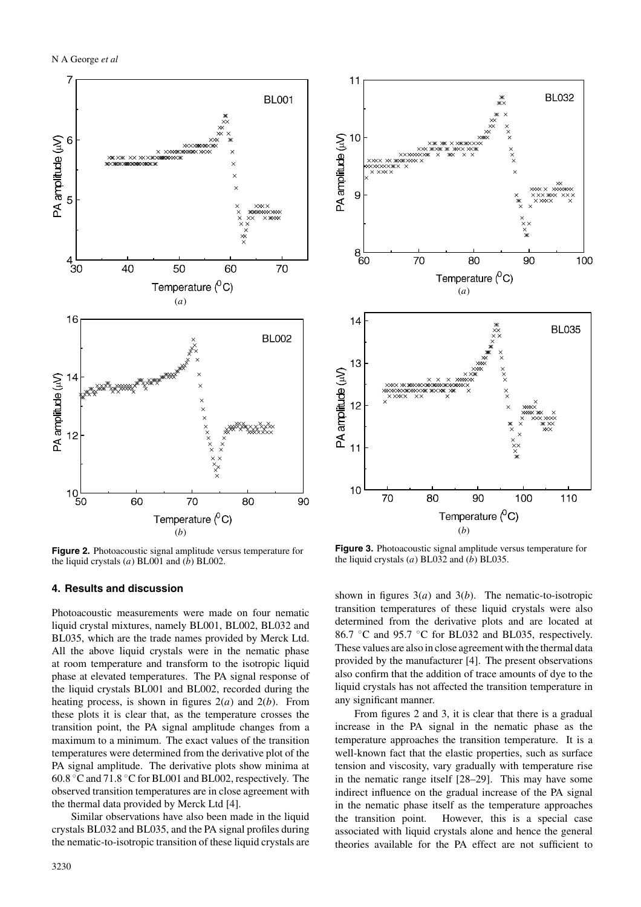

**Figure 2.** Photoacoustic signal amplitude versus temperature for the liquid crystals  $(a)$  BL001 and  $(b)$  BL002.

# **4. Results and discussion**

Photoacoustic measurements were made on four nematic liquid crystal mixtures, namely BL001, BL002, BL032 and BL035, which are the trade names provided by Merck Ltd. All the above liquid crystals were in the nematic phase at room temperature and transform to the isotropic liquid phase at elevated temperatures. The PA signal response of the liquid crystals BL001 and BL002, recorded during the heating process, is shown in figures  $2(a)$  and  $2(b)$ . From these plots it is clear that, as the temperature crosses the transition point, the PA signal amplitude changes from a maximum to a minimum. The exact values of the transition temperatures were determined from the derivative plot of the PA signal amplitude. The derivative plots show minima at 60.8 ◦C and 71.8 ◦C for BL001 and BL002, respectively. The observed transition temperatures are in close agreement with the thermal data provided by Merck Ltd [4].

Similar observations have also been made in the liquid crystals BL032 and BL035, and the PA signal profiles during the nematic-to-isotropic transition of these liquid crystals are



**Figure 3.** Photoacoustic signal amplitude versus temperature for the liquid crystals  $(a)$  BL032 and  $(b)$  BL035.

shown in figures  $3(a)$  and  $3(b)$ . The nematic-to-isotropic transition temperatures of these liquid crystals were also determined from the derivative plots and are located at 86.7 ◦C and 95.7 ◦C for BL032 and BL035, respectively. These values are also in close agreement with the thermal data provided by the manufacturer [4]. The present observations also confirm that the addition of trace amounts of dye to the liquid crystals has not affected the transition temperature in any significant manner.

From figures 2 and 3, it is clear that there is a gradual increase in the PA signal in the nematic phase as the temperature approaches the transition temperature. It is a well-known fact that the elastic properties, such as surface tension and viscosity, vary gradually with temperature rise in the nematic range itself [28–29]. This may have some indirect influence on the gradual increase of the PA signal in the nematic phase itself as the temperature approaches the transition point. However, this is a special case associated with liquid crystals alone and hence the general theories available for the PA effect are not sufficient to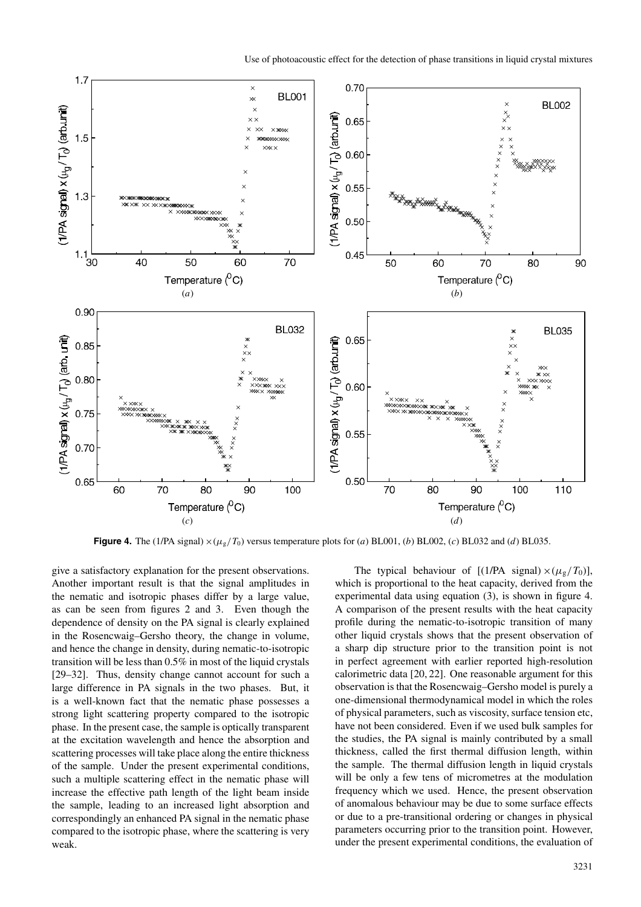

**Figure 4.** The (1/PA signal)  $\times (\mu_g/T_0)$  versus temperature plots for (a) BL001, (b) BL002, (c) BL032 and (d) BL035.

give a satisfactory explanation for the present observations. Another important result is that the signal amplitudes in the nematic and isotropic phases differ by a large value, as can be seen from figures 2 and 3. Even though the dependence of density on the PA signal is clearly explained in the Rosencwaig–Gersho theory, the change in volume, and hence the change in density, during nematic-to-isotropic transition will be less than 0.5% in most of the liquid crystals [29–32]. Thus, density change cannot account for such a large difference in PA signals in the two phases. But, it is a well-known fact that the nematic phase possesses a strong light scattering property compared to the isotropic phase. In the present case, the sample is optically transparent at the excitation wavelength and hence the absorption and scattering processes will take place along the entire thickness of the sample. Under the present experimental conditions, such a multiple scattering effect in the nematic phase will increase the effective path length of the light beam inside the sample, leading to an increased light absorption and correspondingly an enhanced PA signal in the nematic phase compared to the isotropic phase, where the scattering is very weak.

The typical behaviour of  $[(1/PA \text{ signal}) \times (\mu_g/T_0)],$ which is proportional to the heat capacity, derived from the experimental data using equation (3), is shown in figure 4. A comparison of the present results with the heat capacity profile during the nematic-to-isotropic transition of many other liquid crystals shows that the present observation of a sharp dip structure prior to the transition point is not in perfect agreement with earlier reported high-resolution calorimetric data [20, 22]. One reasonable argument for this observation is that the Rosencwaig–Gersho model is purely a one-dimensional thermodynamical model in which the roles of physical parameters, such as viscosity, surface tension etc, have not been considered. Even if we used bulk samples for the studies, the PA signal is mainly contributed by a small thickness, called the first thermal diffusion length, within the sample. The thermal diffusion length in liquid crystals will be only a few tens of micrometres at the modulation frequency which we used. Hence, the present observation of anomalous behaviour may be due to some surface effects or due to a pre-transitional ordering or changes in physical parameters occurring prior to the transition point. However, under the present experimental conditions, the evaluation of